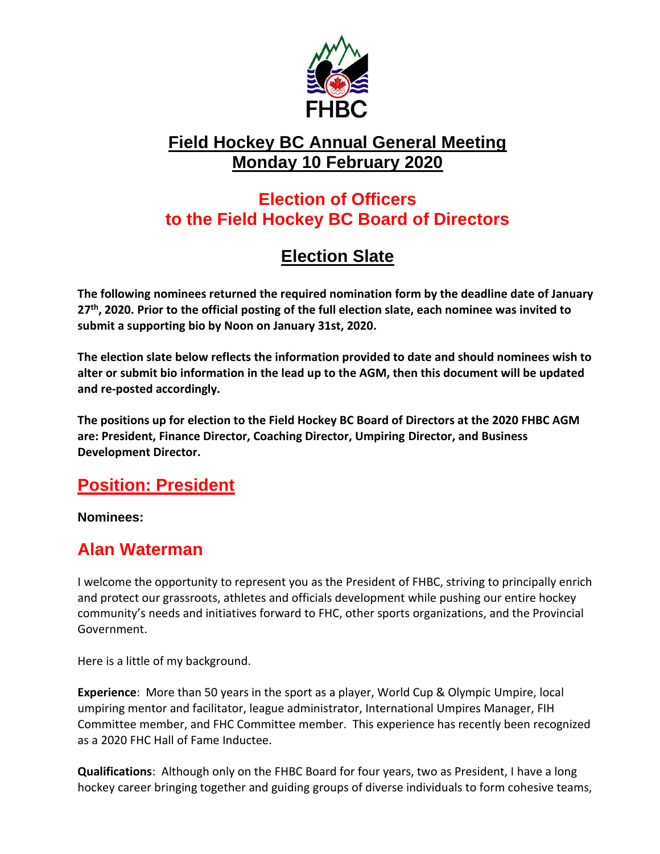

### **Field Hockey BC Annual General Meeting Monday 10 February 2020**

## **Election of Officers to the Field Hockey BC Board of Directors**

# **Election Slate**

**The following nominees returned the required nomination form by the deadline date of January 27th, 2020. Prior to the official posting of the full election slate, each nominee was invited to submit a supporting bio by Noon on January 31st, 2020.** 

**The election slate below reflects the information provided to date and should nominees wish to alter or submit bio information in the lead up to the AGM, then this document will be updated and re-posted accordingly.**

**The positions up for election to the Field Hockey BC Board of Directors at the 2020 FHBC AGM are: President, Finance Director, Coaching Director, Umpiring Director, and Business Development Director.**

## **Position: President**

**Nominees:**

## **Alan Waterman**

I welcome the opportunity to represent you as the President of FHBC, striving to principally enrich and protect our grassroots, athletes and officials development while pushing our entire hockey community's needs and initiatives forward to FHC, other sports organizations, and the Provincial Government.

Here is a little of my background.

**Experience**: More than 50 years in the sport as a player, World Cup & Olympic Umpire, local umpiring mentor and facilitator, league administrator, International Umpires Manager, FIH Committee member, and FHC Committee member. This experience has recently been recognized as a 2020 FHC Hall of Fame Inductee.

**Qualifications**: Although only on the FHBC Board for four years, two as President, I have a long hockey career bringing together and guiding groups of diverse individuals to form cohesive teams,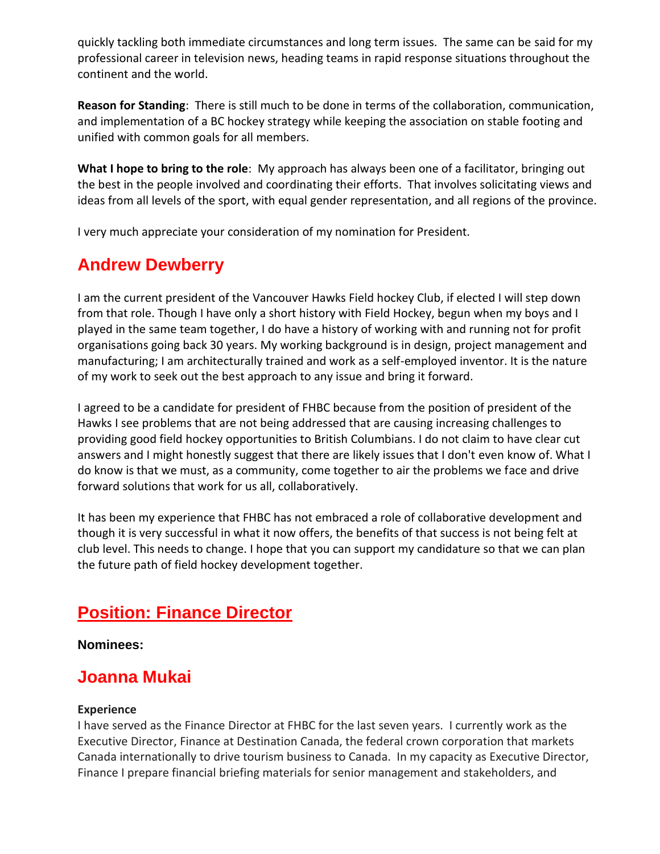quickly tackling both immediate circumstances and long term issues. The same can be said for my professional career in television news, heading teams in rapid response situations throughout the continent and the world.

**Reason for Standing**: There is still much to be done in terms of the collaboration, communication, and implementation of a BC hockey strategy while keeping the association on stable footing and unified with common goals for all members.

**What I hope to bring to the role**: My approach has always been one of a facilitator, bringing out the best in the people involved and coordinating their efforts. That involves solicitating views and ideas from all levels of the sport, with equal gender representation, and all regions of the province.

I very much appreciate your consideration of my nomination for President.

## **Andrew Dewberry**

I am the current president of the Vancouver Hawks Field hockey Club, if elected I will step down from that role. Though I have only a short history with Field Hockey, begun when my boys and I played in the same team together, I do have a history of working with and running not for profit organisations going back 30 years. My working background is in design, project management and manufacturing; I am architecturally trained and work as a self-employed inventor. It is the nature of my work to seek out the best approach to any issue and bring it forward.

I agreed to be a candidate for president of FHBC because from the position of president of the Hawks I see problems that are not being addressed that are causing increasing challenges to providing good field hockey opportunities to British Columbians. I do not claim to have clear cut answers and I might honestly suggest that there are likely issues that I don't even know of. What I do know is that we must, as a community, come together to air the problems we face and drive forward solutions that work for us all, collaboratively.

It has been my experience that FHBC has not embraced a role of collaborative development and though it is very successful in what it now offers, the benefits of that success is not being felt at club level. This needs to change. I hope that you can support my candidature so that we can plan the future path of field hockey development together.

## **Position: Finance Director**

**Nominees:**

### **Joanna Mukai**

#### **Experience**

I have served as the Finance Director at FHBC for the last seven years. I currently work as the Executive Director, Finance at Destination Canada, the federal crown corporation that markets Canada internationally to drive tourism business to Canada. In my capacity as Executive Director, Finance I prepare financial briefing materials for senior management and stakeholders, and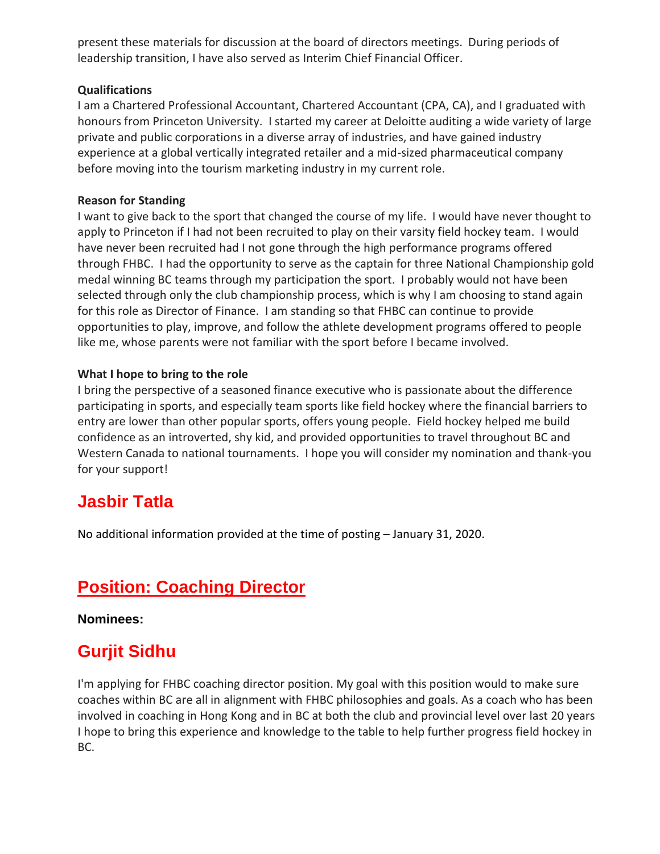present these materials for discussion at the board of directors meetings. During periods of leadership transition, I have also served as Interim Chief Financial Officer.

#### **Qualifications**

I am a Chartered Professional Accountant, Chartered Accountant (CPA, CA), and I graduated with honours from Princeton University. I started my career at Deloitte auditing a wide variety of large private and public corporations in a diverse array of industries, and have gained industry experience at a global vertically integrated retailer and a mid-sized pharmaceutical company before moving into the tourism marketing industry in my current role.

#### **Reason for Standing**

I want to give back to the sport that changed the course of my life. I would have never thought to apply to Princeton if I had not been recruited to play on their varsity field hockey team. I would have never been recruited had I not gone through the high performance programs offered through FHBC. I had the opportunity to serve as the captain for three National Championship gold medal winning BC teams through my participation the sport. I probably would not have been selected through only the club championship process, which is why I am choosing to stand again for this role as Director of Finance. I am standing so that FHBC can continue to provide opportunities to play, improve, and follow the athlete development programs offered to people like me, whose parents were not familiar with the sport before I became involved.

#### **What I hope to bring to the role**

I bring the perspective of a seasoned finance executive who is passionate about the difference participating in sports, and especially team sports like field hockey where the financial barriers to entry are lower than other popular sports, offers young people. Field hockey helped me build confidence as an introverted, shy kid, and provided opportunities to travel throughout BC and Western Canada to national tournaments. I hope you will consider my nomination and thank-you for your support!

### **Jasbir Tatla**

No additional information provided at the time of posting – January 31, 2020.

## **Position: Coaching Director**

**Nominees:**

## **Gurjit Sidhu**

I'm applying for FHBC coaching director position. My goal with this position would to make sure coaches within BC are all in alignment with FHBC philosophies and goals. As a coach who has been involved in coaching in Hong Kong and in BC at both the club and provincial level over last 20 years I hope to bring this experience and knowledge to the table to help further progress field hockey in BC.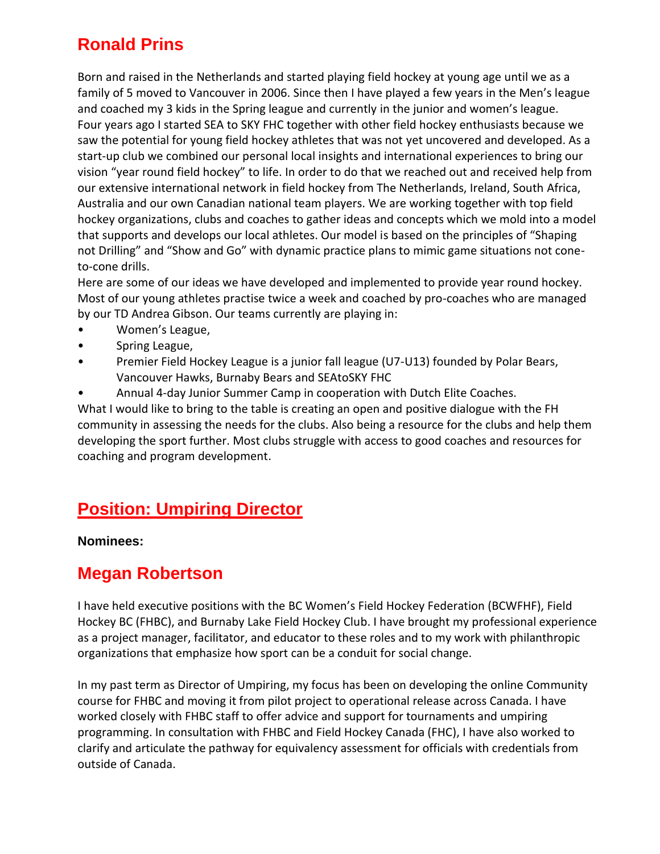## **Ronald Prins**

Born and raised in the Netherlands and started playing field hockey at young age until we as a family of 5 moved to Vancouver in 2006. Since then I have played a few years in the Men's league and coached my 3 kids in the Spring league and currently in the junior and women's league. Four years ago I started SEA to SKY FHC together with other field hockey enthusiasts because we saw the potential for young field hockey athletes that was not yet uncovered and developed. As a start-up club we combined our personal local insights and international experiences to bring our vision "year round field hockey" to life. In order to do that we reached out and received help from our extensive international network in field hockey from The Netherlands, Ireland, South Africa, Australia and our own Canadian national team players. We are working together with top field hockey organizations, clubs and coaches to gather ideas and concepts which we mold into a model that supports and develops our local athletes. Our model is based on the principles of "Shaping not Drilling" and "Show and Go" with dynamic practice plans to mimic game situations not coneto-cone drills.

Here are some of our ideas we have developed and implemented to provide year round hockey. Most of our young athletes practise twice a week and coached by pro-coaches who are managed by our TD Andrea Gibson. Our teams currently are playing in:

- Women's League,
- Spring League,
- Premier Field Hockey League is a junior fall league (U7-U13) founded by Polar Bears, Vancouver Hawks, Burnaby Bears and SEAtoSKY FHC
- Annual 4-day Junior Summer Camp in cooperation with Dutch Elite Coaches.

What I would like to bring to the table is creating an open and positive dialogue with the FH community in assessing the needs for the clubs. Also being a resource for the clubs and help them developing the sport further. Most clubs struggle with access to good coaches and resources for coaching and program development.

## **Position: Umpiring Director**

#### **Nominees:**

### **Megan Robertson**

I have held executive positions with the BC Women's Field Hockey Federation (BCWFHF), Field Hockey BC (FHBC), and Burnaby Lake Field Hockey Club. I have brought my professional experience as a project manager, facilitator, and educator to these roles and to my work with philanthropic organizations that emphasize how sport can be a conduit for social change.

In my past term as Director of Umpiring, my focus has been on developing the online Community course for FHBC and moving it from pilot project to operational release across Canada. I have worked closely with FHBC staff to offer advice and support for tournaments and umpiring programming. In consultation with FHBC and Field Hockey Canada (FHC), I have also worked to clarify and articulate the pathway for equivalency assessment for officials with credentials from outside of Canada.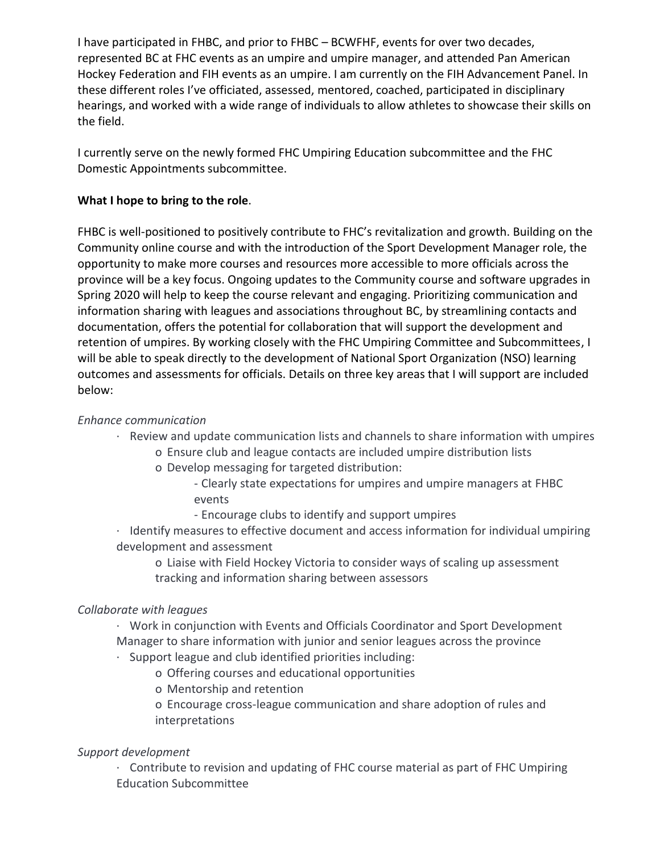I have participated in FHBC, and prior to FHBC – BCWFHF, events for over two decades, represented BC at FHC events as an umpire and umpire manager, and attended Pan American Hockey Federation and FIH events as an umpire. I am currently on the FIH Advancement Panel. In these different roles I've officiated, assessed, mentored, coached, participated in disciplinary hearings, and worked with a wide range of individuals to allow athletes to showcase their skills on the field.

I currently serve on the newly formed FHC Umpiring Education subcommittee and the FHC Domestic Appointments subcommittee.

#### **What I hope to bring to the role**.

FHBC is well-positioned to positively contribute to FHC's revitalization and growth. Building on the Community online course and with the introduction of the Sport Development Manager role, the opportunity to make more courses and resources more accessible to more officials across the province will be a key focus. Ongoing updates to the Community course and software upgrades in Spring 2020 will help to keep the course relevant and engaging. Prioritizing communication and information sharing with leagues and associations throughout BC, by streamlining contacts and documentation, offers the potential for collaboration that will support the development and retention of umpires. By working closely with the FHC Umpiring Committee and Subcommittees, I will be able to speak directly to the development of National Sport Organization (NSO) learning outcomes and assessments for officials. Details on three key areas that I will support are included below:

#### *Enhance communication*

- · Review and update communication lists and channels to share information with umpires
	- o Ensure club and league contacts are included umpire distribution lists
	- o Develop messaging for targeted distribution:
		- Clearly state expectations for umpires and umpire managers at FHBC events
		- Encourage clubs to identify and support umpires
- · Identify measures to effective document and access information for individual umpiring development and assessment
	- o Liaise with Field Hockey Victoria to consider ways of scaling up assessment tracking and information sharing between assessors

#### *Collaborate with leagues*

- · Work in conjunction with Events and Officials Coordinator and Sport Development Manager to share information with junior and senior leagues across the province
- · Support league and club identified priorities including:
	- o Offering courses and educational opportunities
	- o Mentorship and retention
	- o Encourage cross-league communication and share adoption of rules and interpretations

#### *Support development*

· Contribute to revision and updating of FHC course material as part of FHC Umpiring Education Subcommittee